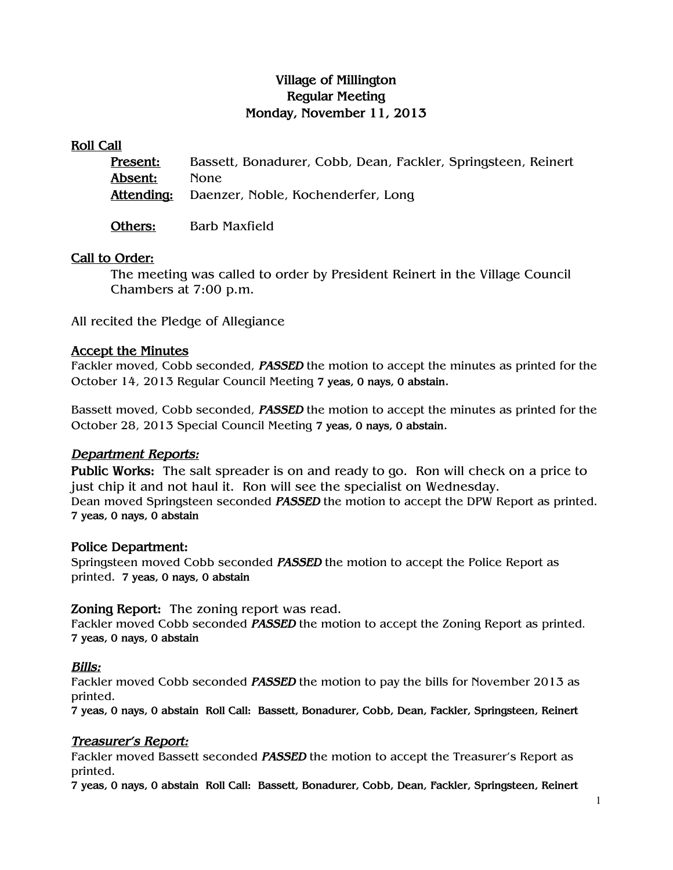# Village of Millington Regular Meeting Monday, November 11, 2013

#### Roll Call

| <u> Present:</u> | Bassett, Bonadurer, Cobb, Dean, Fackler, Springsteen, Reinert |
|------------------|---------------------------------------------------------------|
| Absent:          | None.                                                         |
|                  | Attending: Daenzer, Noble, Kochenderfer, Long                 |
|                  |                                                               |

Others: Barb Maxfield

### Call to Order:

The meeting was called to order by President Reinert in the Village Council Chambers at 7:00 p.m.

All recited the Pledge of Allegiance

### Accept the Minutes

Fackler moved, Cobb seconded, **PASSED** the motion to accept the minutes as printed for the October 14, 2013 Regular Council Meeting 7 yeas, 0 nays, 0 abstain.

Bassett moved, Cobb seconded, PASSED the motion to accept the minutes as printed for the October 28, 2013 Special Council Meeting 7 yeas, 0 nays, 0 abstain.

#### Department Reports:

Public Works: The salt spreader is on and ready to go. Ron will check on a price to just chip it and not haul it. Ron will see the specialist on Wednesday. Dean moved Springsteen seconded PASSED the motion to accept the DPW Report as printed. 7 yeas, 0 nays, 0 abstain

#### Police Department:

Springsteen moved Cobb seconded **PASSED** the motion to accept the Police Report as printed. 7 yeas, 0 nays, 0 abstain

#### Zoning Report: The zoning report was read.

Fackler moved Cobb seconded **PASSED** the motion to accept the Zoning Report as printed. 7 yeas, 0 nays, 0 abstain

#### Bills:

Fackler moved Cobb seconded PASSED the motion to pay the bills for November 2013 as printed.

7 yeas, 0 nays, 0 abstain Roll Call: Bassett, Bonadurer, Cobb, Dean, Fackler, Springsteen, Reinert

# Treasurer's Report:

Fackler moved Bassett seconded **PASSED** the motion to accept the Treasurer's Report as printed.

7 yeas, 0 nays, 0 abstain Roll Call: Bassett, Bonadurer, Cobb, Dean, Fackler, Springsteen, Reinert